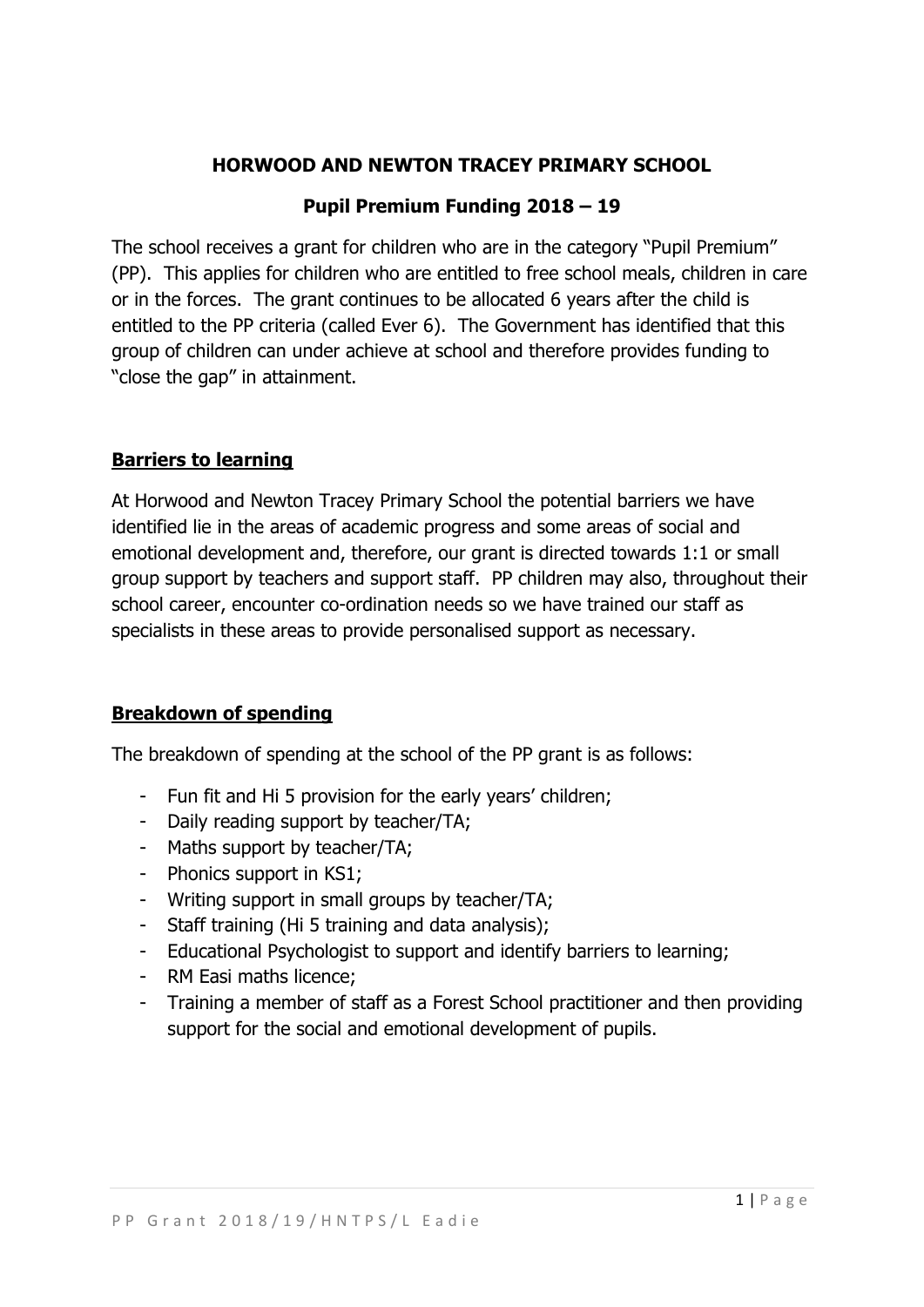# **HORWOOD AND NEWTON TRACEY PRIMARY SCHOOL**

# **Pupil Premium Funding 2018 – 19**

The school receives a grant for children who are in the category "Pupil Premium" (PP). This applies for children who are entitled to free school meals, children in care or in the forces. The grant continues to be allocated 6 years after the child is entitled to the PP criteria (called Ever 6). The Government has identified that this group of children can under achieve at school and therefore provides funding to "close the gap" in attainment.

# **Barriers to learning**

At Horwood and Newton Tracey Primary School the potential barriers we have identified lie in the areas of academic progress and some areas of social and emotional development and, therefore, our grant is directed towards 1:1 or small group support by teachers and support staff. PP children may also, throughout their school career, encounter co-ordination needs so we have trained our staff as specialists in these areas to provide personalised support as necessary.

# **Breakdown of spending**

The breakdown of spending at the school of the PP grant is as follows:

- Fun fit and Hi 5 provision for the early years' children;
- Daily reading support by teacher/TA;
- Maths support by teacher/TA;
- Phonics support in KS1;
- Writing support in small groups by teacher/TA;
- Staff training (Hi 5 training and data analysis);
- Educational Psychologist to support and identify barriers to learning;
- RM Easi maths licence;
- Training a member of staff as a Forest School practitioner and then providing support for the social and emotional development of pupils.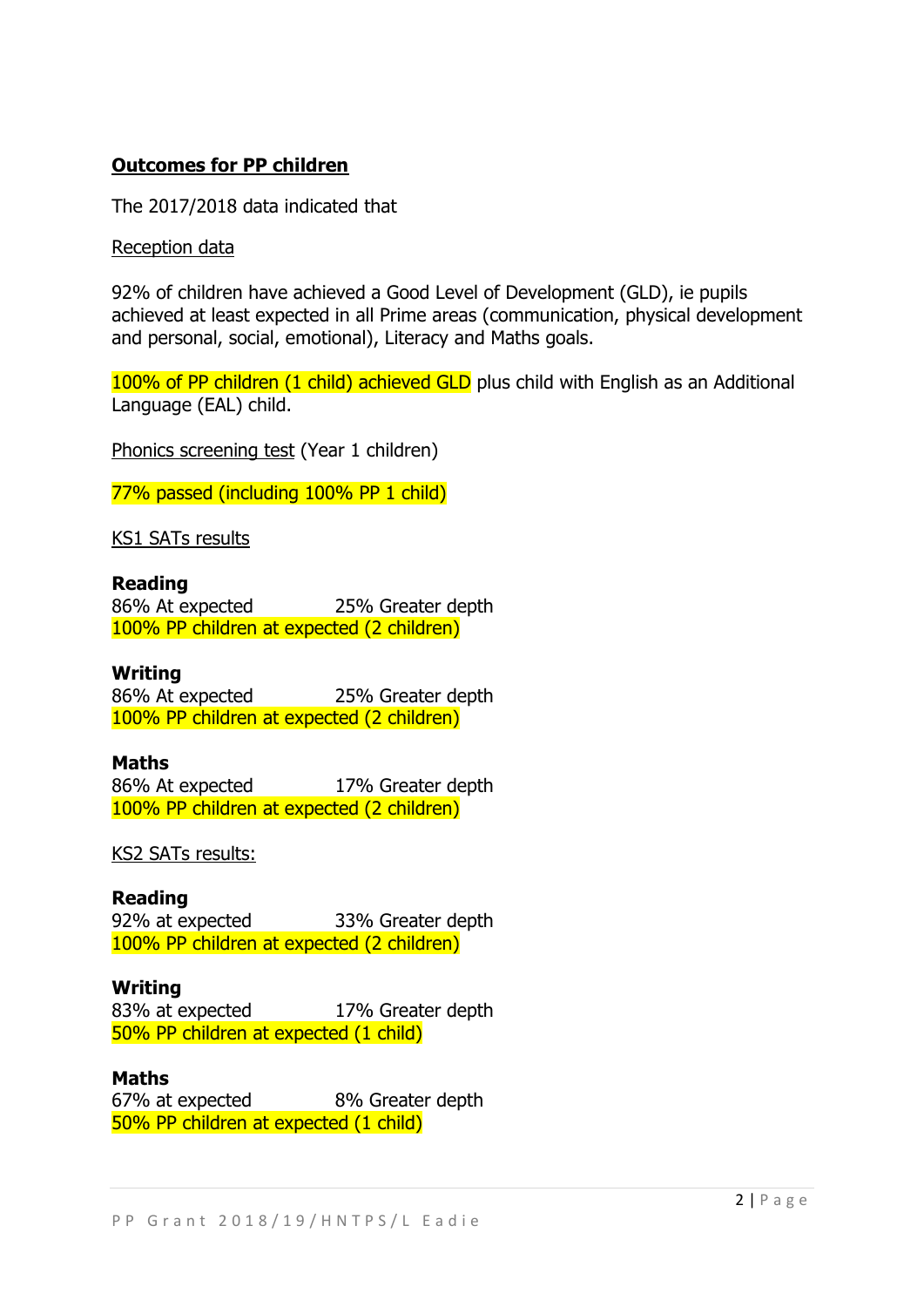### **Outcomes for PP children**

The 2017/2018 data indicated that

Reception data

92% of children have achieved a Good Level of Development (GLD), ie pupils achieved at least expected in all Prime areas (communication, physical development and personal, social, emotional), Literacy and Maths goals.

100% of PP children (1 child) achieved GLD plus child with English as an Additional Language (EAL) child.

Phonics screening test (Year 1 children)

77% passed (including 100% PP 1 child)

KS1 SATs results

### **Reading**

86% At expected 25% Greater depth 100% PP children at expected (2 children)

### **Writing**

86% At expected 25% Greater depth 100% PP children at expected (2 children)

### **Maths**

86% At expected 17% Greater depth 100% PP children at expected (2 children)

KS2 SATs results:

**Reading** 92% at expected 33% Greater depth 100% PP children at expected (2 children)

**Writing** 83% at expected 17% Greater depth 50% PP children at expected (1 child)

**Maths** 67% at expected 8% Greater depth 50% PP children at expected (1 child)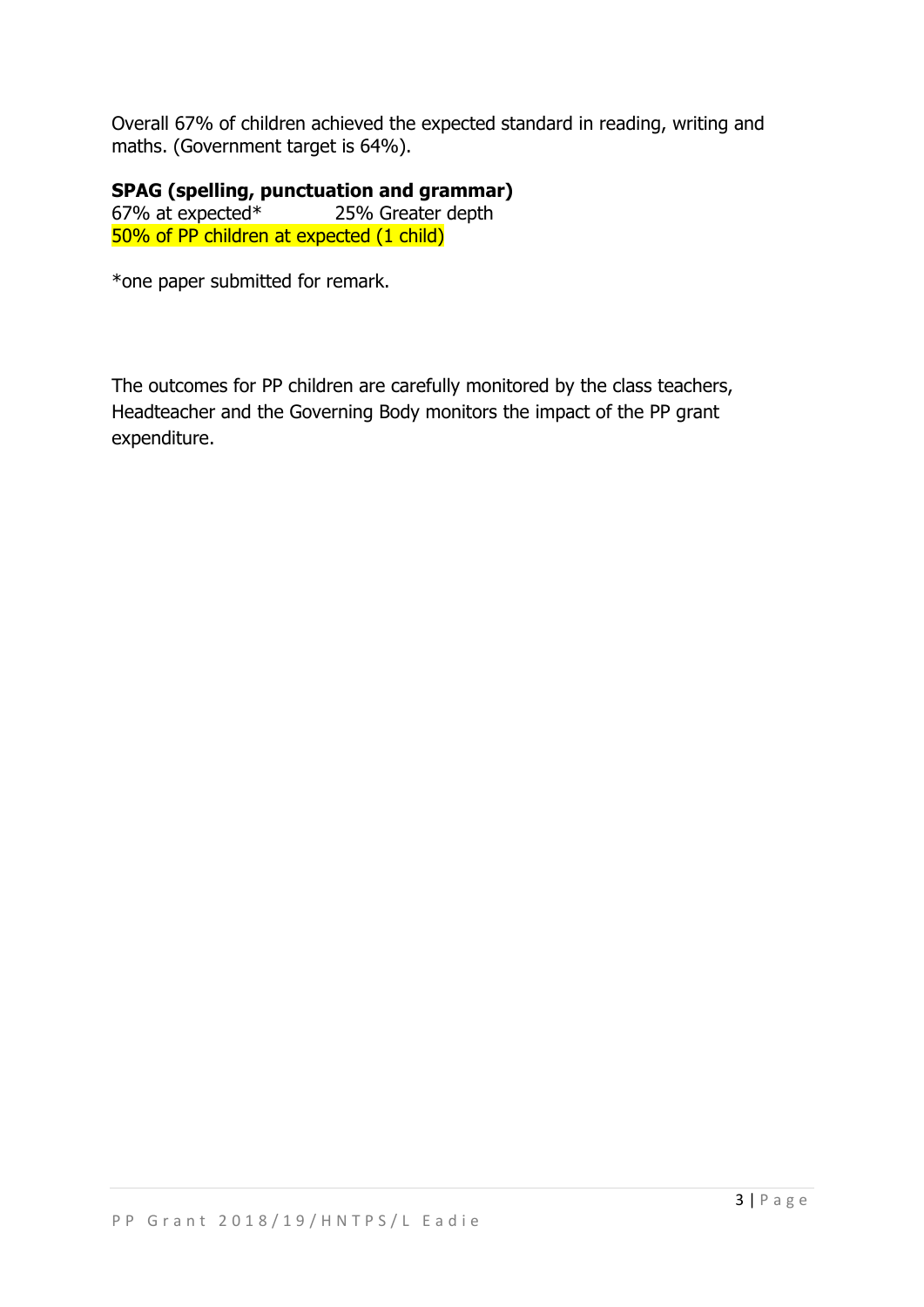Overall 67% of children achieved the expected standard in reading, writing and maths. (Government target is 64%).

**SPAG (spelling, punctuation and grammar)** 67% at expected\* 25% Greater depth 50% of PP children at expected (1 child)

\*one paper submitted for remark.

The outcomes for PP children are carefully monitored by the class teachers, Headteacher and the Governing Body monitors the impact of the PP grant expenditure.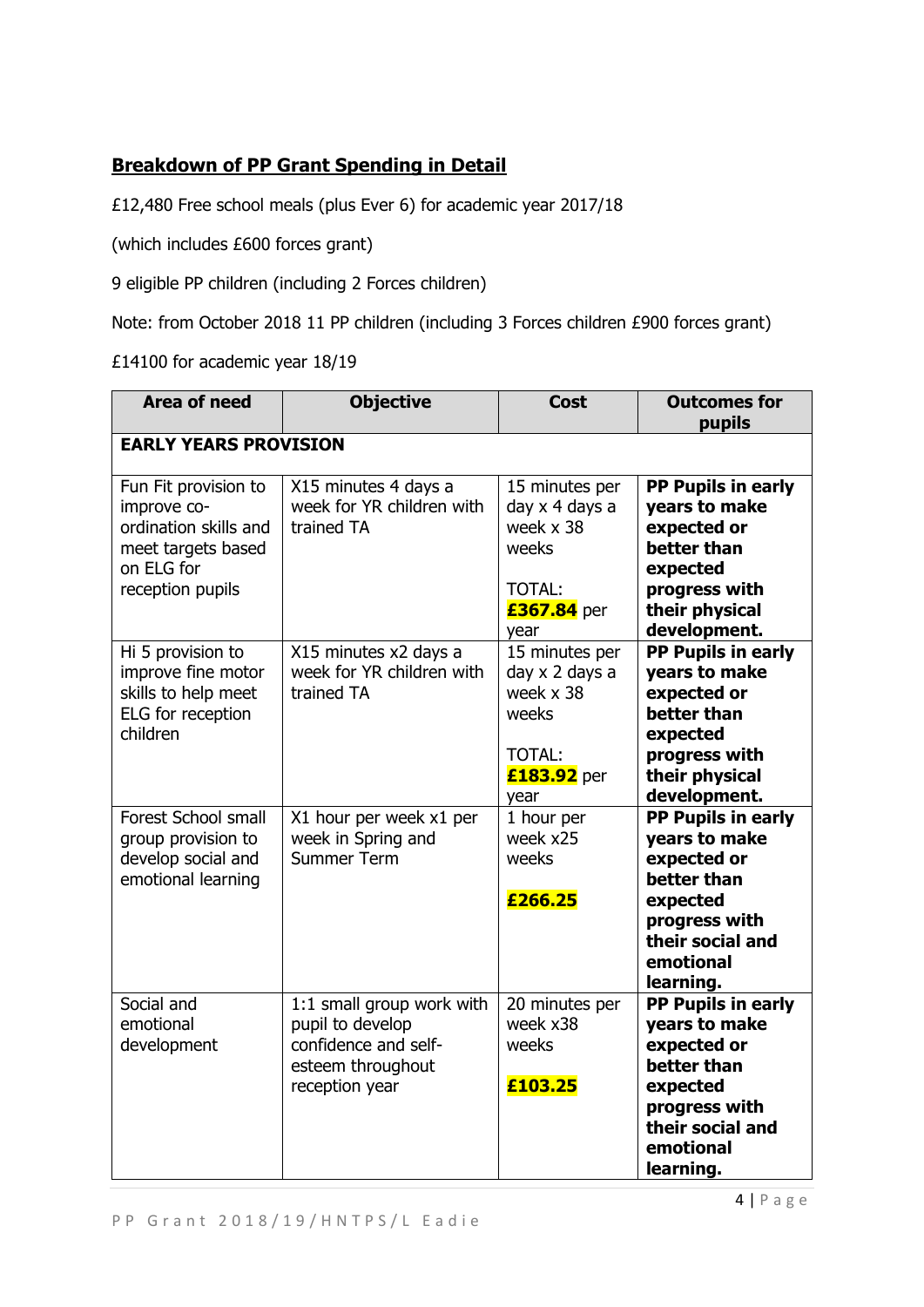# **Breakdown of PP Grant Spending in Detail**

£12,480 Free school meals (plus Ever 6) for academic year 2017/18

(which includes £600 forces grant)

9 eligible PP children (including 2 Forces children)

Note: from October 2018 11 PP children (including 3 Forces children £900 forces grant)

£14100 for academic year 18/19

| <b>Area of need</b>                                                                                                  | <b>Objective</b>                                                                                             | <b>Cost</b>                                                                             | <b>Outcomes for</b><br>pupils                                                                                                                |
|----------------------------------------------------------------------------------------------------------------------|--------------------------------------------------------------------------------------------------------------|-----------------------------------------------------------------------------------------|----------------------------------------------------------------------------------------------------------------------------------------------|
| <b>EARLY YEARS PROVISION</b>                                                                                         |                                                                                                              |                                                                                         |                                                                                                                                              |
| Fun Fit provision to<br>improve co-<br>ordination skills and<br>meet targets based<br>on ELG for<br>reception pupils | X15 minutes 4 days a<br>week for YR children with<br>trained TA                                              | 15 minutes per<br>day x 4 days a<br>week x 38<br>weeks<br>TOTAL:<br>£367.84 per<br>year | PP Pupils in early<br>years to make<br>expected or<br>better than<br>expected<br>progress with<br>their physical<br>development.             |
| Hi 5 provision to<br>improve fine motor<br>skills to help meet<br>ELG for reception<br>children                      | X15 minutes x2 days a<br>week for YR children with<br>trained TA                                             | 15 minutes per<br>day x 2 days a<br>week x 38<br>weeks<br>TOTAL:<br>£183.92 per<br>year | PP Pupils in early<br>years to make<br>expected or<br>better than<br>expected<br>progress with<br>their physical<br>development.             |
| Forest School small<br>group provision to<br>develop social and<br>emotional learning                                | X1 hour per week x1 per<br>week in Spring and<br><b>Summer Term</b>                                          | 1 hour per<br>week x25<br>weeks<br>£266.25                                              | PP Pupils in early<br>years to make<br>expected or<br>better than<br>expected<br>progress with<br>their social and<br>emotional<br>learning. |
| Social and<br>emotional<br>development                                                                               | 1:1 small group work with<br>pupil to develop<br>confidence and self-<br>esteem throughout<br>reception year | 20 minutes per<br>week x38<br>weeks<br>£103.25                                          | PP Pupils in early<br>years to make<br>expected or<br>better than<br>expected<br>progress with<br>their social and<br>emotional<br>learning. |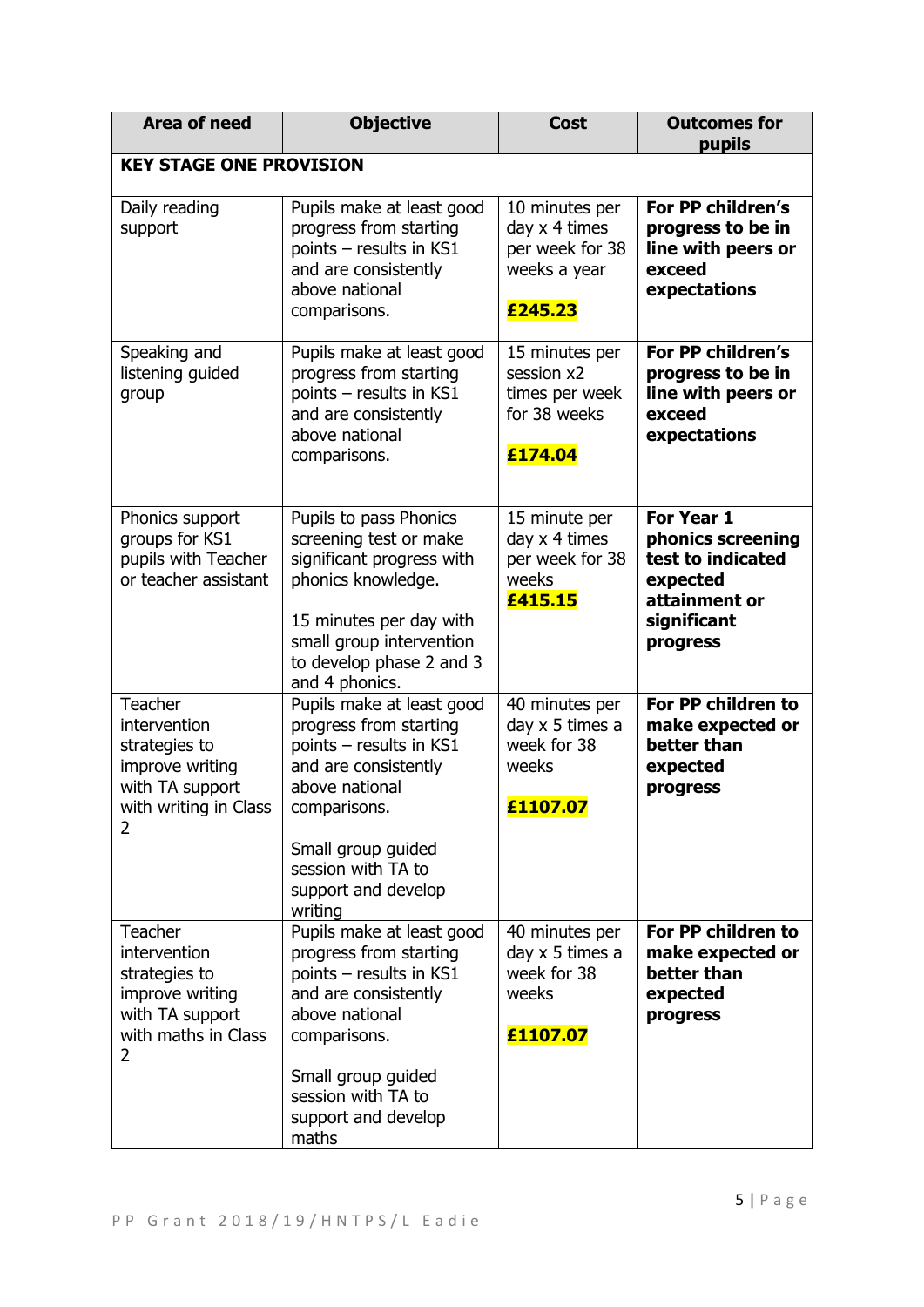| <b>Area of need</b>                                                                                          | <b>Objective</b>                                                                                                                                                                                                       | <b>Cost</b>                                                                   | <b>Outcomes for</b><br>pupils                                                                                |  |
|--------------------------------------------------------------------------------------------------------------|------------------------------------------------------------------------------------------------------------------------------------------------------------------------------------------------------------------------|-------------------------------------------------------------------------------|--------------------------------------------------------------------------------------------------------------|--|
| <b>KEY STAGE ONE PROVISION</b>                                                                               |                                                                                                                                                                                                                        |                                                                               |                                                                                                              |  |
| Daily reading<br>support                                                                                     | Pupils make at least good<br>progress from starting<br>points - results in KS1<br>and are consistently<br>above national<br>comparisons.                                                                               | 10 minutes per<br>day x 4 times<br>per week for 38<br>weeks a year<br>£245.23 | For PP children's<br>progress to be in<br>line with peers or<br>exceed<br>expectations                       |  |
| Speaking and<br>listening guided<br>group                                                                    | Pupils make at least good<br>progress from starting<br>points - results in KS1<br>and are consistently<br>above national<br>comparisons.                                                                               | 15 minutes per<br>session x2<br>times per week<br>for 38 weeks<br>£174.04     | For PP children's<br>progress to be in<br>line with peers or<br>exceed<br>expectations                       |  |
| Phonics support<br>groups for KS1<br>pupils with Teacher<br>or teacher assistant                             | Pupils to pass Phonics<br>screening test or make<br>significant progress with<br>phonics knowledge.<br>15 minutes per day with<br>small group intervention<br>to develop phase 2 and 3<br>and 4 phonics.               | 15 minute per<br>day x 4 times<br>per week for 38<br>weeks<br>£415.15         | For Year 1<br>phonics screening<br>test to indicated<br>expected<br>attainment or<br>significant<br>progress |  |
| Teacher<br>intervention<br>strategies to<br>improve writing<br>with TA support<br>with writing in Class<br>2 | Pupils make at least good<br>progress from starting<br>points - results in KS1<br>and are consistently<br>above national<br>comparisons.<br>Small group guided<br>session with TA to<br>support and develop<br>writing | 40 minutes per<br>day x 5 times a<br>week for 38<br>weeks<br>£1107.07         | For PP children to<br>make expected or<br>better than<br>expected<br>progress                                |  |
| Teacher<br>intervention<br>strategies to<br>improve writing<br>with TA support<br>with maths in Class<br>2   | Pupils make at least good<br>progress from starting<br>points - results in KS1<br>and are consistently<br>above national<br>comparisons.<br>Small group guided<br>session with TA to<br>support and develop<br>maths   | 40 minutes per<br>day x 5 times a<br>week for 38<br>weeks<br>£1107.07         | For PP children to<br>make expected or<br>better than<br>expected<br>progress                                |  |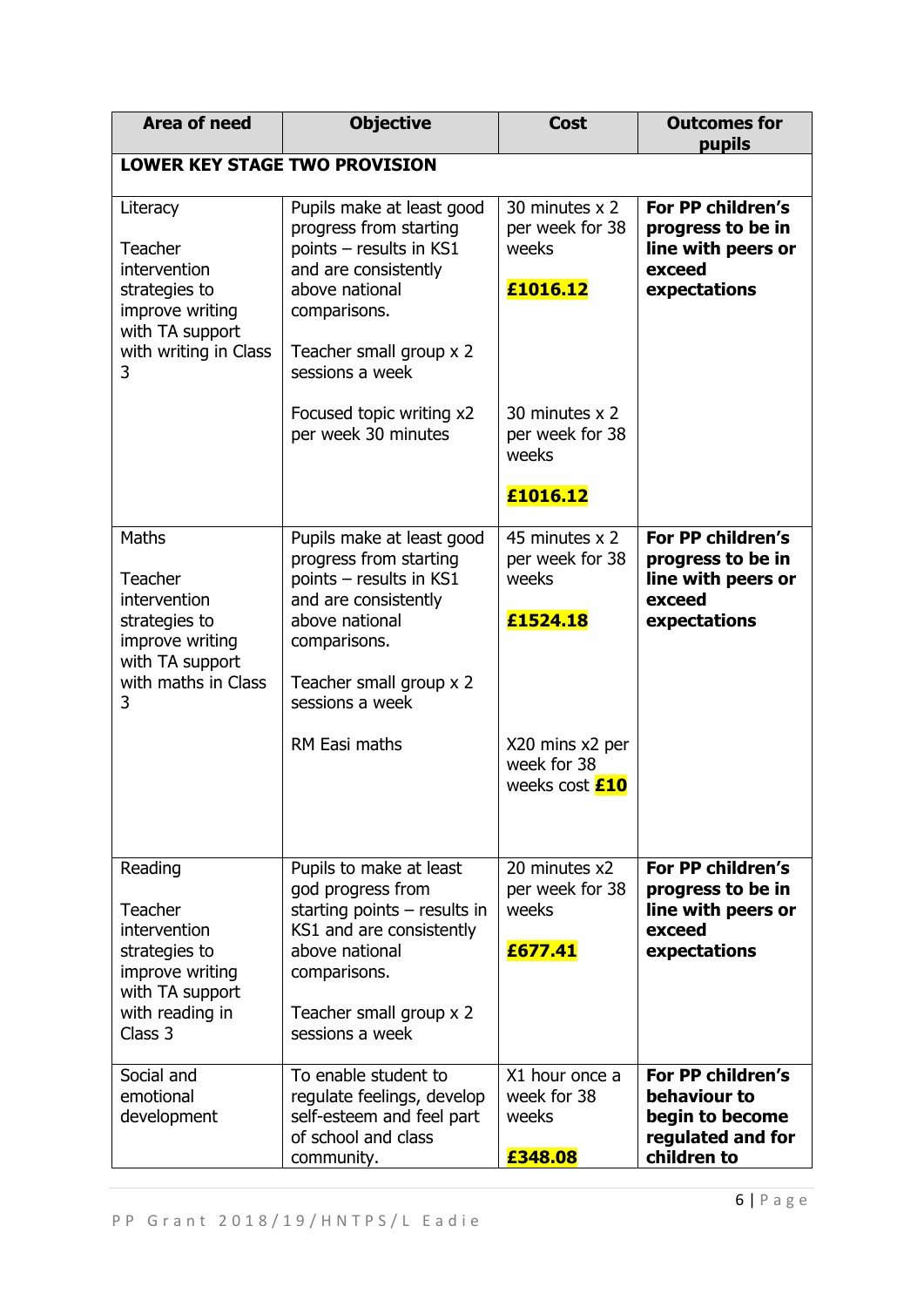| <b>Area of need</b>                                                                                                             | <b>Objective</b>                                                                                                                                                                                        | <b>Cost</b>                                                                                                       | <b>Outcomes for</b><br>pupils                                                            |
|---------------------------------------------------------------------------------------------------------------------------------|---------------------------------------------------------------------------------------------------------------------------------------------------------------------------------------------------------|-------------------------------------------------------------------------------------------------------------------|------------------------------------------------------------------------------------------|
| <b>LOWER KEY STAGE TWO PROVISION</b>                                                                                            |                                                                                                                                                                                                         |                                                                                                                   |                                                                                          |
| Literacy<br><b>Teacher</b><br>intervention<br>strategies to<br>improve writing<br>with TA support<br>with writing in Class<br>3 | Pupils make at least good<br>progress from starting<br>points - results in KS1<br>and are consistently<br>above national<br>comparisons.<br>Teacher small group x 2<br>sessions a week                  | 30 minutes x 2<br>per week for 38<br>weeks<br>£1016.12                                                            | For PP children's<br>progress to be in<br>line with peers or<br>exceed<br>expectations   |
|                                                                                                                                 | Focused topic writing x2<br>per week 30 minutes                                                                                                                                                         | 30 minutes x 2<br>per week for 38<br>weeks<br>£1016.12                                                            |                                                                                          |
| Maths<br><b>Teacher</b><br>intervention<br>strategies to<br>improve writing<br>with TA support<br>with maths in Class<br>3      | Pupils make at least good<br>progress from starting<br>points - results in KS1<br>and are consistently<br>above national<br>comparisons.<br>Teacher small group x 2<br>sessions a week<br>RM Easi maths | 45 minutes x 2<br>per week for 38<br>weeks<br>£1524.18<br>X20 mins x2 per<br>week for 38<br>weeks cost <b>£10</b> | For PP children's<br>progress to be in<br>line with peers or<br>exceed<br>expectations   |
| Reading<br>Teacher<br>intervention<br>strategies to<br>improve writing<br>with TA support<br>with reading in<br>Class 3         | Pupils to make at least<br>god progress from<br>starting points $-$ results in<br>KS1 and are consistently<br>above national<br>comparisons.<br>Teacher small group x 2<br>sessions a week              | 20 minutes x2<br>per week for 38<br>weeks<br>£677.41                                                              | For PP children's<br>progress to be in<br>line with peers or<br>exceed<br>expectations   |
| Social and<br>emotional<br>development                                                                                          | To enable student to<br>regulate feelings, develop<br>self-esteem and feel part<br>of school and class<br>community.                                                                                    | X1 hour once a<br>week for 38<br>weeks<br>£348.08                                                                 | For PP children's<br>behaviour to<br>begin to become<br>regulated and for<br>children to |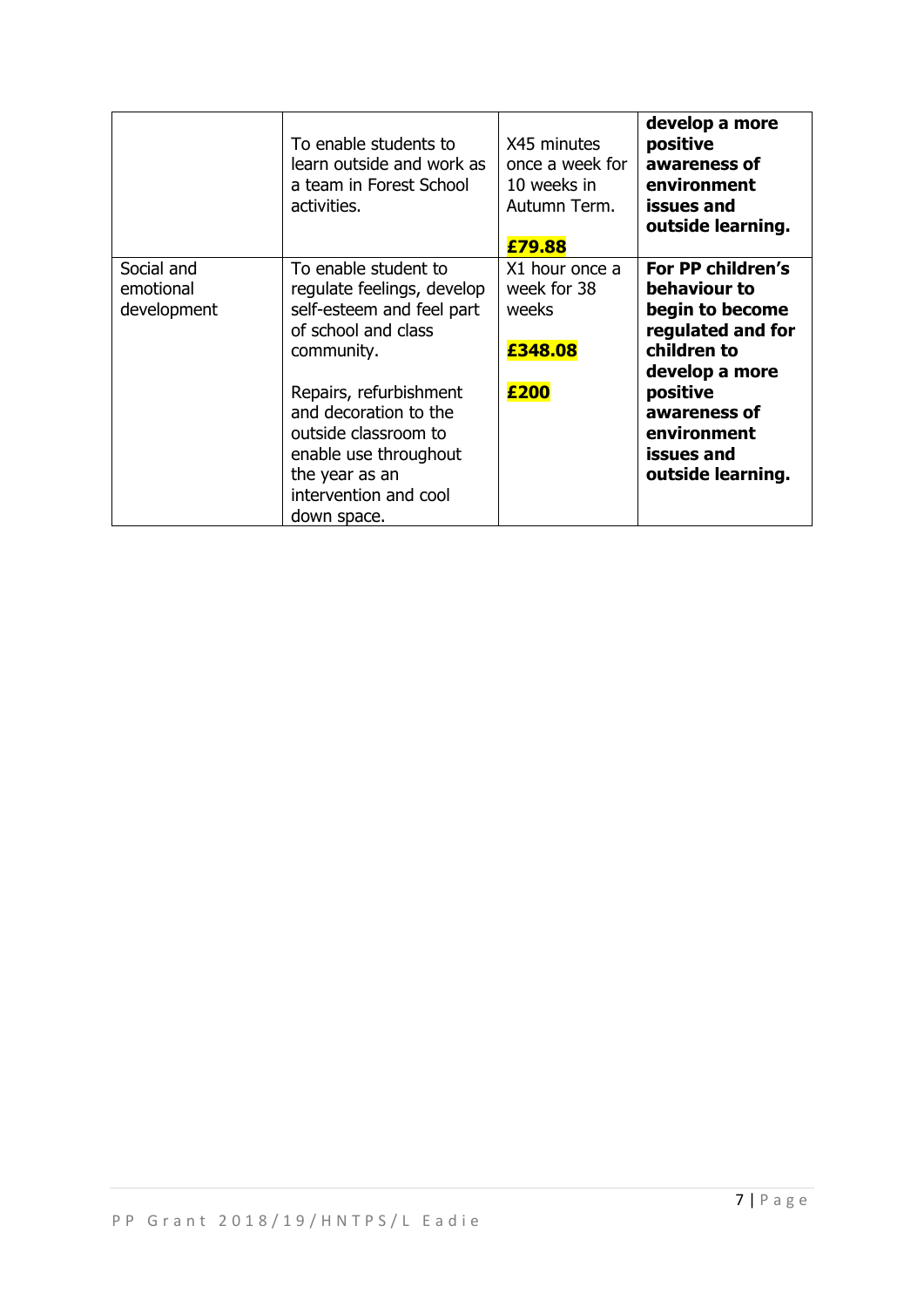|                                        | To enable students to<br>learn outside and work as<br>a team in Forest School<br>activities.                                                               | X45 minutes<br>once a week for<br>10 weeks in<br>Autumn Term.<br>£79.88 | develop a more<br>positive<br>awareness of<br>environment<br>issues and<br>outside learning.               |
|----------------------------------------|------------------------------------------------------------------------------------------------------------------------------------------------------------|-------------------------------------------------------------------------|------------------------------------------------------------------------------------------------------------|
| Social and<br>emotional<br>development | To enable student to<br>regulate feelings, develop<br>self-esteem and feel part<br>of school and class<br>community.                                       | X1 hour once a<br>week for 38<br>weeks<br>£348.08                       | For PP children's<br>behaviour to<br>begin to become<br>regulated and for<br>children to<br>develop a more |
|                                        | Repairs, refurbishment<br>and decoration to the<br>outside classroom to<br>enable use throughout<br>the year as an<br>intervention and cool<br>down space. | £200                                                                    | positive<br>awareness of<br>environment<br>issues and<br>outside learning.                                 |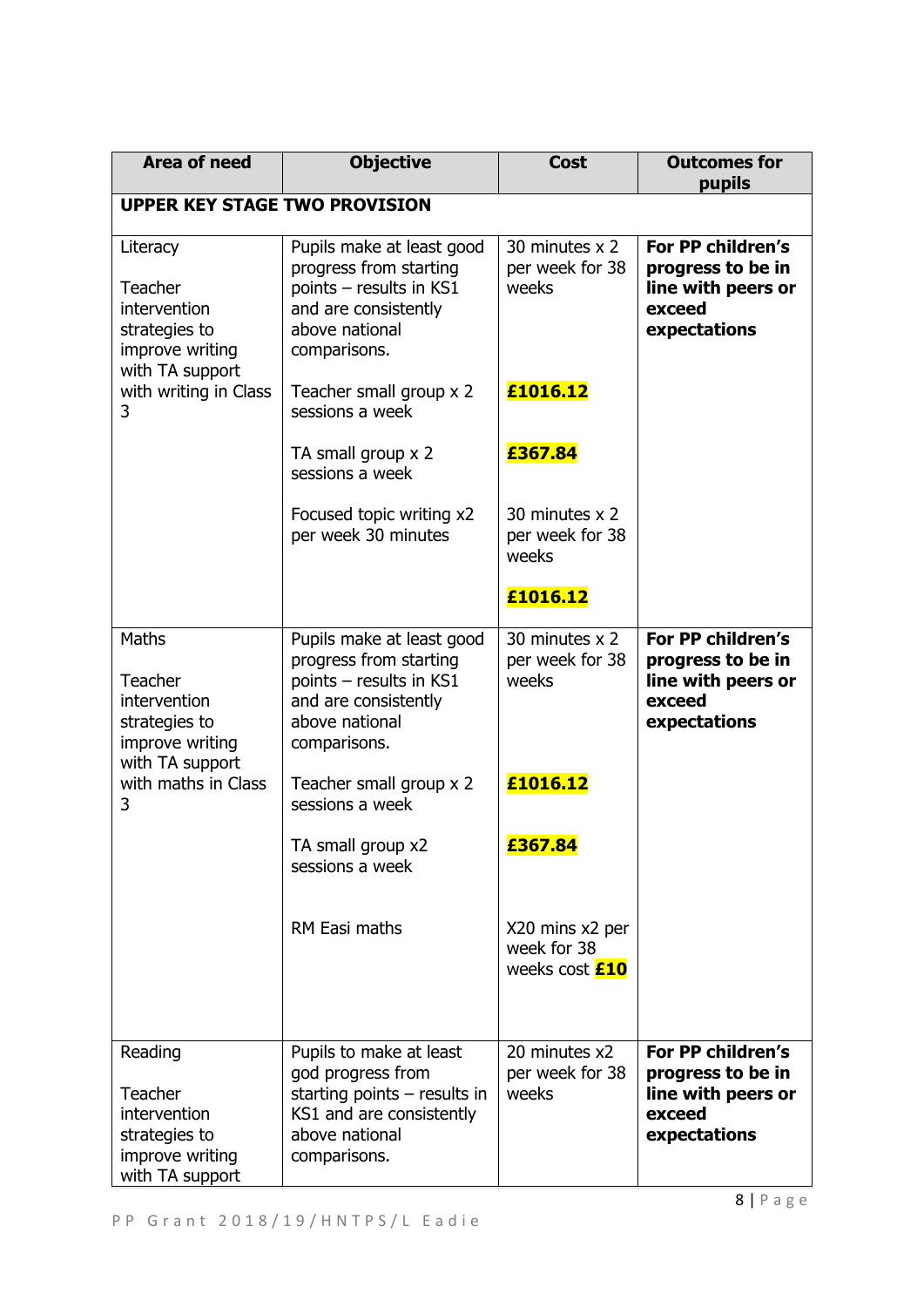| <b>Area of need</b>                                                                        | <b>Objective</b>                                                                                                                             | <b>Cost</b>                                             | <b>Outcomes for</b><br>pupils                                                          |  |
|--------------------------------------------------------------------------------------------|----------------------------------------------------------------------------------------------------------------------------------------------|---------------------------------------------------------|----------------------------------------------------------------------------------------|--|
| <b>UPPER KEY STAGE TWO PROVISION</b>                                                       |                                                                                                                                              |                                                         |                                                                                        |  |
| Literacy<br>Teacher<br>intervention<br>strategies to<br>improve writing<br>with TA support | Pupils make at least good<br>progress from starting<br>points - results in KS1<br>and are consistently<br>above national<br>comparisons.     | 30 minutes x 2<br>per week for 38<br>weeks              | For PP children's<br>progress to be in<br>line with peers or<br>exceed<br>expectations |  |
| with writing in Class<br>3                                                                 | Teacher small group x 2<br>sessions a week                                                                                                   | £1016.12                                                |                                                                                        |  |
|                                                                                            | TA small group x 2<br>sessions a week                                                                                                        | £367.84                                                 |                                                                                        |  |
|                                                                                            | Focused topic writing x2<br>per week 30 minutes                                                                                              | 30 minutes x 2<br>per week for 38<br>weeks              |                                                                                        |  |
|                                                                                            |                                                                                                                                              | £1016.12                                                |                                                                                        |  |
| Maths<br>Teacher<br>intervention<br>strategies to<br>improve writing<br>with TA support    | Pupils make at least good<br>progress from starting<br>points - results in KS1<br>and are consistently<br>above national<br>comparisons.     | 30 minutes x 2<br>per week for 38<br>weeks              | For PP children's<br>progress to be in<br>line with peers or<br>exceed<br>expectations |  |
| with maths in Class<br>3                                                                   | Teacher small group x 2<br>sessions a week                                                                                                   | £1016.12                                                |                                                                                        |  |
|                                                                                            | TA small group x2<br>sessions a week                                                                                                         | £367.84                                                 |                                                                                        |  |
|                                                                                            | RM Easi maths                                                                                                                                | X20 mins x2 per<br>week for 38<br>weeks cost <b>£10</b> |                                                                                        |  |
| Reading<br>Teacher<br>intervention<br>strategies to<br>improve writing<br>with TA support  | Pupils to make at least<br>god progress from<br>starting points $-$ results in<br>KS1 and are consistently<br>above national<br>comparisons. | 20 minutes x2<br>per week for 38<br>weeks               | For PP children's<br>progress to be in<br>line with peers or<br>exceed<br>expectations |  |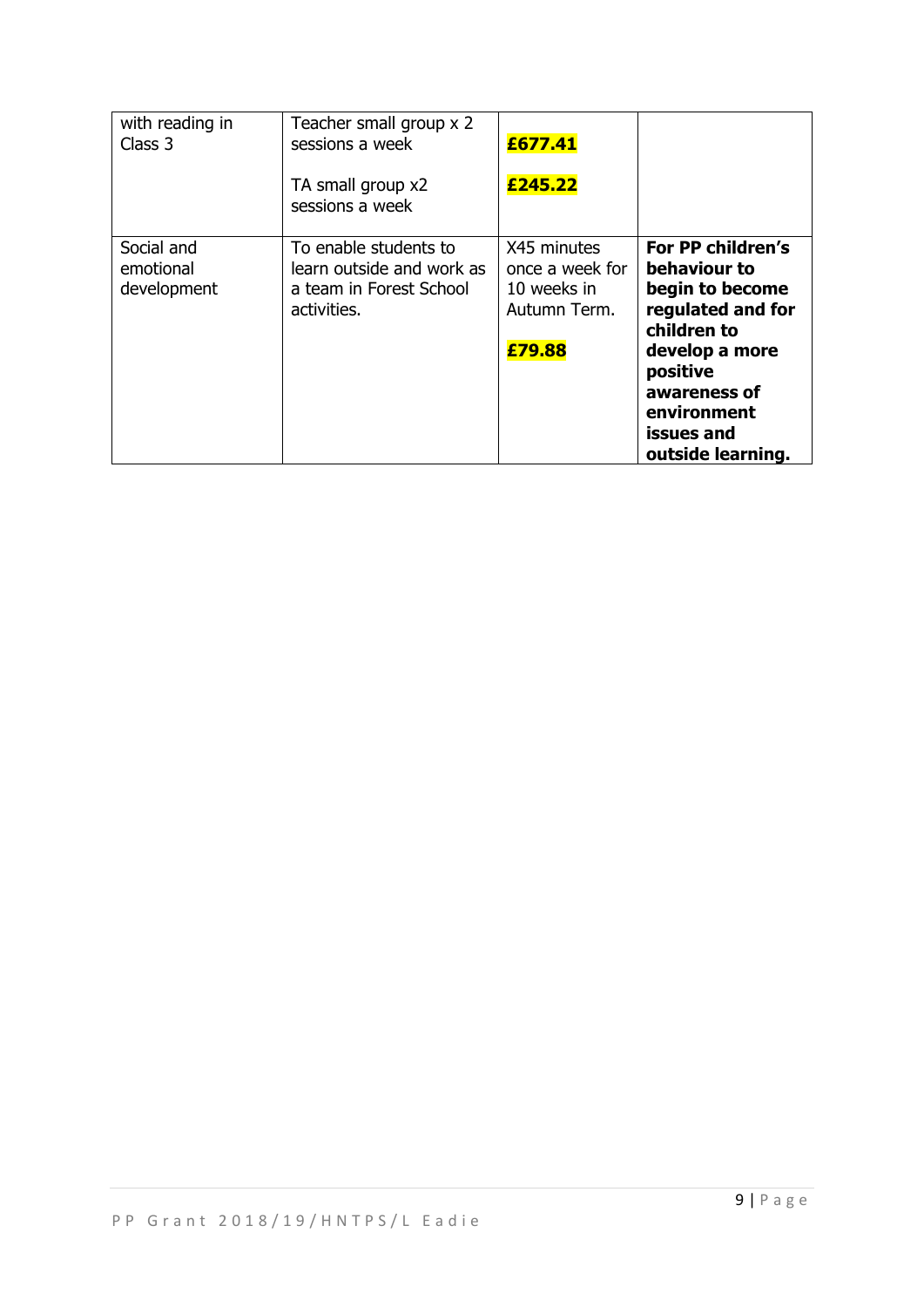| with reading in<br>Class 3             | Teacher small group x 2<br>sessions a week<br>TA small group x2<br>sessions a week           | £677.41<br>£245.22                                                      |                                                                                                                                                                                          |
|----------------------------------------|----------------------------------------------------------------------------------------------|-------------------------------------------------------------------------|------------------------------------------------------------------------------------------------------------------------------------------------------------------------------------------|
| Social and<br>emotional<br>development | To enable students to<br>learn outside and work as<br>a team in Forest School<br>activities. | X45 minutes<br>once a week for<br>10 weeks in<br>Autumn Term.<br>£79.88 | For PP children's<br>behaviour to<br>begin to become<br>regulated and for<br>children to<br>develop a more<br>positive<br>awareness of<br>environment<br>issues and<br>outside learning. |